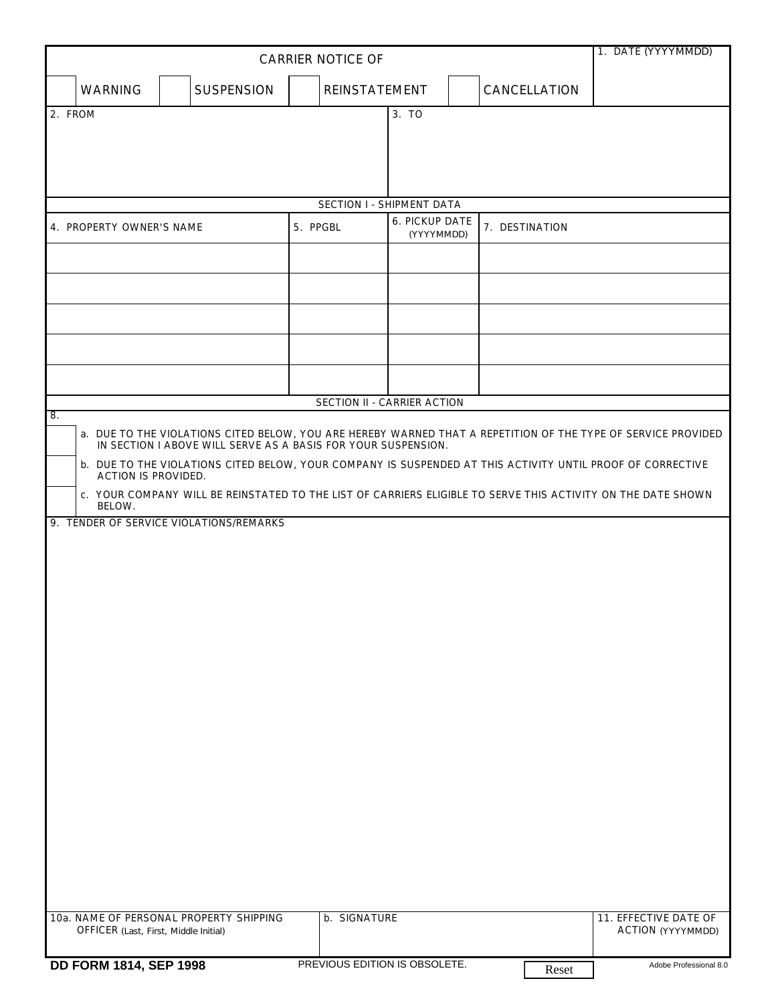| <b>CARRIER NOTICE OF</b>                                                                                                                                                             |                                              |                     |                           |                               |                                     |  |                              |       | 1. DATE (YYYYMMDD)       |
|--------------------------------------------------------------------------------------------------------------------------------------------------------------------------------------|----------------------------------------------|---------------------|---------------------------|-------------------------------|-------------------------------------|--|------------------------------|-------|--------------------------|
|                                                                                                                                                                                      | <b>WARNING</b>                               | <b>SUSPENSION</b>   |                           | <b>REINSTATEMENT</b>          |                                     |  | <b>CANCELLATION</b>          |       |                          |
| 2. FROM                                                                                                                                                                              |                                              |                     |                           |                               |                                     |  |                              |       |                          |
|                                                                                                                                                                                      |                                              |                     |                           |                               |                                     |  |                              |       |                          |
|                                                                                                                                                                                      |                                              |                     |                           |                               |                                     |  |                              |       |                          |
|                                                                                                                                                                                      |                                              |                     | SECTION I - SHIPMENT DATA |                               |                                     |  |                              |       |                          |
| 4. PROPERTY OWNER'S NAME                                                                                                                                                             |                                              |                     | 5. PPGBL                  |                               | <b>6. PICKUP DATE</b><br>(YYYYMMDD) |  | 7. DESTINATION               |       |                          |
|                                                                                                                                                                                      |                                              |                     |                           |                               |                                     |  |                              |       |                          |
|                                                                                                                                                                                      |                                              |                     |                           |                               |                                     |  |                              |       |                          |
|                                                                                                                                                                                      |                                              |                     |                           |                               |                                     |  |                              |       |                          |
|                                                                                                                                                                                      |                                              |                     |                           |                               |                                     |  |                              |       |                          |
|                                                                                                                                                                                      |                                              |                     |                           |                               |                                     |  |                              |       |                          |
| SECTION II - CARRIER ACTION                                                                                                                                                          |                                              |                     |                           |                               |                                     |  |                              |       |                          |
| 8.<br>a. DUE TO THE VIOLATIONS CITED BELOW, YOU ARE HEREBY WARNED THAT A REPETITION OF THE TYPE OF SERVICE PROVIDED<br>IN SECTION I ABOVE WILL SERVE AS A BASIS FOR YOUR SUSPENSION. |                                              |                     |                           |                               |                                     |  |                              |       |                          |
| b. DUE TO THE VIOLATIONS CITED BELOW, YOUR COMPANY IS SUSPENDED AT THIS ACTIVITY UNTIL PROOF OF CORRECTIVE<br><b>ACTION IS PROVIDED.</b>                                             |                                              |                     |                           |                               |                                     |  |                              |       |                          |
| c. YOUR COMPANY WILL BE REINSTATED TO THE LIST OF CARRIERS ELIGIBLE TO SERVE THIS ACTIVITY ON THE DATE SHOWN<br>BELOW.                                                               |                                              |                     |                           |                               |                                     |  |                              |       |                          |
| 9. TENDER OF SERVICE VIOLATIONS/REMARKS                                                                                                                                              |                                              |                     |                           |                               |                                     |  |                              |       |                          |
|                                                                                                                                                                                      |                                              |                     |                           |                               |                                     |  |                              |       |                          |
|                                                                                                                                                                                      |                                              |                     |                           |                               |                                     |  |                              |       |                          |
|                                                                                                                                                                                      |                                              |                     |                           |                               |                                     |  |                              |       |                          |
|                                                                                                                                                                                      |                                              |                     |                           |                               |                                     |  |                              |       |                          |
|                                                                                                                                                                                      |                                              |                     |                           |                               |                                     |  |                              |       |                          |
|                                                                                                                                                                                      |                                              |                     |                           |                               |                                     |  |                              |       |                          |
|                                                                                                                                                                                      |                                              |                     |                           |                               |                                     |  |                              |       |                          |
|                                                                                                                                                                                      |                                              |                     |                           |                               |                                     |  |                              |       |                          |
|                                                                                                                                                                                      |                                              |                     |                           |                               |                                     |  |                              |       |                          |
|                                                                                                                                                                                      |                                              |                     |                           |                               |                                     |  |                              |       |                          |
|                                                                                                                                                                                      |                                              |                     |                           |                               |                                     |  |                              |       |                          |
|                                                                                                                                                                                      |                                              |                     |                           |                               |                                     |  |                              |       |                          |
|                                                                                                                                                                                      |                                              |                     |                           |                               |                                     |  |                              |       |                          |
|                                                                                                                                                                                      | 10a. NAME OF PERSONAL PROPERTY SHIPPING      | <b>b. SIGNATURE</b> |                           |                               |                                     |  | <b>11. EFFECTIVE DATE OF</b> |       |                          |
|                                                                                                                                                                                      | <b>OFFICER</b> (Last, First, Middle Initial) |                     |                           |                               |                                     |  |                              |       | <b>ACTION</b> (YYYYMMDD) |
|                                                                                                                                                                                      | <b>DD FORM 1814, SEP 1998</b>                |                     |                           | PREVIOUS EDITION IS OBSOLETE. |                                     |  |                              | Reset | Adobe Professional 8.0   |